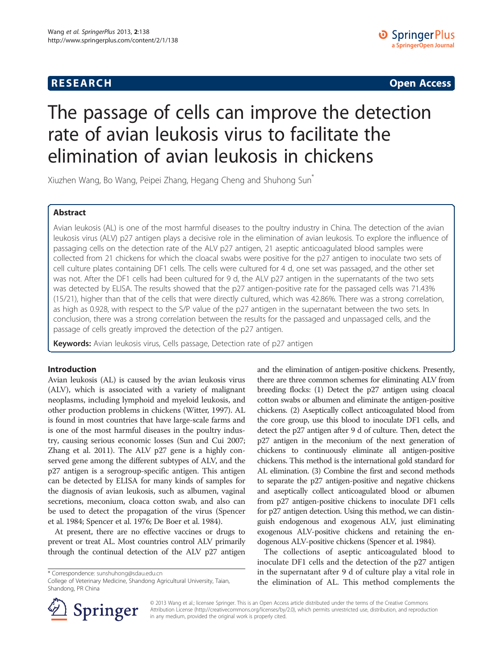## **RESEARCH RESEARCH CONSUMING ACCESS**

# The passage of cells can improve the detection rate of avian leukosis virus to facilitate the elimination of avian leukosis in chickens

Xiuzhen Wang, Bo Wang, Peipei Zhang, Hegang Cheng and Shuhong Sun\*

## Abstract

Avian leukosis (AL) is one of the most harmful diseases to the poultry industry in China. The detection of the avian leukosis virus (ALV) p27 antigen plays a decisive role in the elimination of avian leukosis. To explore the influence of passaging cells on the detection rate of the ALV p27 antigen, 21 aseptic anticoagulated blood samples were collected from 21 chickens for which the cloacal swabs were positive for the p27 antigen to inoculate two sets of cell culture plates containing DF1 cells. The cells were cultured for 4 d, one set was passaged, and the other set was not. After the DF1 cells had been cultured for 9 d, the ALV p27 antigen in the supernatants of the two sets was detected by ELISA. The results showed that the p27 antigen-positive rate for the passaged cells was 71.43% (15/21), higher than that of the cells that were directly cultured, which was 42.86%. There was a strong correlation, as high as 0.928, with respect to the S/P value of the p27 antigen in the supernatant between the two sets. In conclusion, there was a strong correlation between the results for the passaged and unpassaged cells, and the passage of cells greatly improved the detection of the p27 antigen.

Keywords: Avian leukosis virus, Cells passage, Detection rate of p27 antigen

#### Introduction

Avian leukosis (AL) is caused by the avian leukosis virus (ALV), which is associated with a variety of malignant neoplasms, including lymphoid and myeloid leukosis, and other production problems in chickens (Witter, [1997\)](#page-2-0). AL is found in most countries that have large-scale farms and is one of the most harmful diseases in the poultry industry, causing serious economic losses (Sun and Cui [2007](#page-2-0); Zhang et al. [2011\)](#page-2-0). The ALV p27 gene is a highly conserved gene among the different subtypes of ALV, and the p27 antigen is a serogroup-specific antigen. This antigen can be detected by ELISA for many kinds of samples for the diagnosis of avian leukosis, such as albumen, vaginal secretions, meconium, cloaca cotton swab, and also can be used to detect the propagation of the virus (Spencer et al. [1984](#page-2-0); Spencer et al. [1976;](#page-2-0) De Boer et al. [1984](#page-2-0)).

At present, there are no effective vaccines or drugs to prevent or treat AL. Most countries control ALV primarily through the continual detection of the ALV p27 antigen

\* Correspondence: [sunshuhong@sdau.edu.cn](mailto:sunshuhong@sdau.edu.cn)

and the elimination of antigen-positive chickens. Presently, there are three common schemes for eliminating ALV from breeding flocks: (1) Detect the p27 antigen using cloacal cotton swabs or albumen and eliminate the antigen-positive chickens. (2) Aseptically collect anticoagulated blood from the core group, use this blood to inoculate DF1 cells, and detect the p27 antigen after 9 d of culture. Then, detect the p27 antigen in the meconium of the next generation of chickens to continuously eliminate all antigen-positive chickens. This method is the international gold standard for AL elimination. (3) Combine the first and second methods to separate the p27 antigen-positive and negative chickens and aseptically collect anticoagulated blood or albumen from p27 antigen-positive chickens to inoculate DF1 cells for p27 antigen detection. Using this method, we can distinguish endogenous and exogenous ALV, just eliminating exogenous ALV-positive chickens and retaining the endogenous ALV-positive chickens (Spencer et al. [1984](#page-2-0)).

The collections of aseptic anticoagulated blood to inoculate DF1 cells and the detection of the p27 antigen in the supernatant after 9 d of culture play a vital role in the elimination of AL. This method complements the



© 2013 Wang et al.; licensee Springer. This is an Open Access article distributed under the terms of the Creative Commons Attribution License [\(http://creativecommons.org/licenses/by/2.0\)](http://creativecommons.org/licenses/by/2.0), which permits unrestricted use, distribution, and reproduction in any medium, provided the original work is properly cited.

College of Veterinary Medicine, Shandong Agricultural University, Taian, Shandong, PR China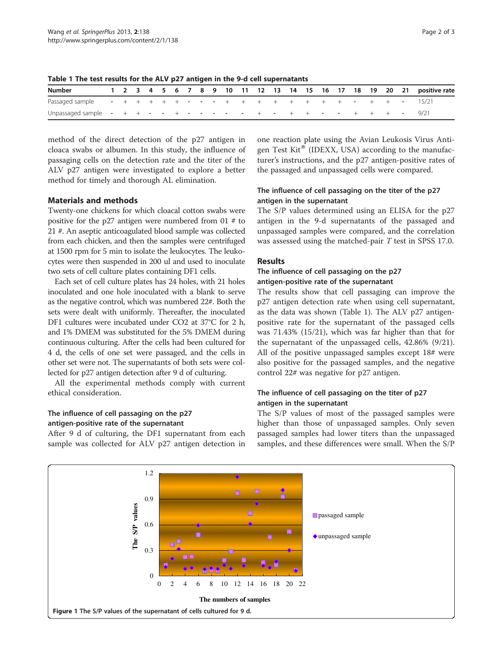| <b>Number</b>                                                            |  |  |  |  |  |  |  |  |  |  | 1 2 3 4 5 6 7 8 9 10 11 12 13 14 15 16 17 18 19 20 21 positive rate |
|--------------------------------------------------------------------------|--|--|--|--|--|--|--|--|--|--|---------------------------------------------------------------------|
|                                                                          |  |  |  |  |  |  |  |  |  |  |                                                                     |
| Unpassaged sample $- + + - - + - - - - - - + - + + + - - + + + - -$ 9/21 |  |  |  |  |  |  |  |  |  |  |                                                                     |

<span id="page-1-0"></span>Table 1 The test results for the ALV p27 antigen in the 9-d cell supernatants

method of the direct detection of the p27 antigen in cloaca swabs or albumen. In this study, the influence of passaging cells on the detection rate and the titer of the ALV p27 antigen were investigated to explore a better method for timely and thorough AL elimination.

#### Materials and methods

Twenty-one chickens for which cloacal cotton swabs were positive for the p27 antigen were numbered from 01 # to 21 #. An aseptic anticoagulated blood sample was collected from each chicken, and then the samples were centrifuged at 1500 rpm for 5 min to isolate the leukocytes. The leukocytes were then suspended in 200 ul and used to inoculate two sets of cell culture plates containing DF1 cells.

Each set of cell culture plates has 24 holes, with 21 holes inoculated and one hole inoculated with a blank to serve as the negative control, which was numbered 22#. Both the sets were dealt with uniformly. Thereafter, the inoculated DF1 cultures were incubated under CO2 at 37°C for 2 h, and 1% DMEM was substituted for the 5% DMEM during continuous culturing. After the cells had been cultured for 4 d, the cells of one set were passaged, and the cells in other set were not. The supernatants of both sets were collected for p27 antigen detection after 9 d of culturing.

All the experimental methods comply with current ethical consideration.

## The influence of cell passaging on the p27 antigen-positive rate of the supernatant

After 9 d of culturing, the DF1 supernatant from each sample was collected for ALV p27 antigen detection in one reaction plate using the Avian Leukosis Virus Antigen Test Kit<sup>®</sup> (IDEXX, USA) according to the manufacturer's instructions, and the p27 antigen-positive rates of the passaged and unpassaged cells were compared.

## The influence of cell passaging on the titer of the p27 antigen in the supernatant

The S/P values determined using an ELISA for the p27 antigen in the 9-d supernatants of the passaged and unpassaged samples were compared, and the correlation was assessed using the matched-pair T test in SPSS 17.0.

#### Results

## The influence of cell passaging on the p27 antigen-positive rate of the supernatant

The results show that cell passaging can improve the p27 antigen detection rate when using cell supernatant, as the data was shown (Table 1). The ALV p27 antigenpositive rate for the supernatant of the passaged cells was 71.43% (15/21), which was far higher than that for the supernatant of the unpassaged cells, 42.86% (9/21). All of the positive unpassaged samples except 18# were also positive for the passaged samples, and the negative control 22# was negative for p27 antigen.

## The influence of cell passaging on the titer of p27 antigen in the supernatant

The S/P values of most of the passaged samples were higher than those of unpassaged samples. Only seven passaged samples had lower titers than the unpassaged samples, and these differences were small. When the S/P